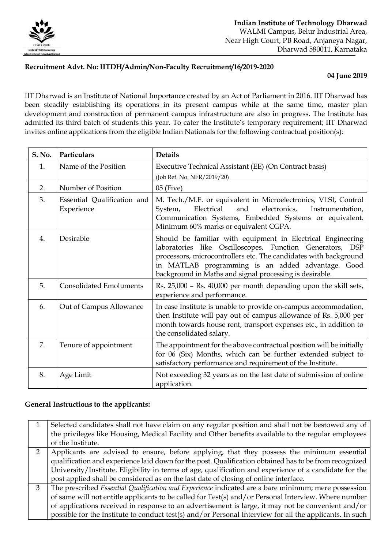

## **Recruitment Advt. No: IITDH/Admin/Non-Faculty Recruitment/16/2019-2020**

## **04 June 2019**

IIT Dharwad is an Institute of National Importance created by an Act of Parliament in 2016. IIT Dharwad has been steadily establishing its operations in its present campus while at the same time, master plan development and construction of permanent campus infrastructure are also in progress. The Institute has admitted its third batch of students this year. To cater the Institute's temporary requirement; IIT Dharwad invites online applications from the eligible Indian Nationals for the following contractual position(s):

| <b>S. No.</b> | Particulars                               | <b>Details</b>                                                                                                                                                                                                                                                                                               |
|---------------|-------------------------------------------|--------------------------------------------------------------------------------------------------------------------------------------------------------------------------------------------------------------------------------------------------------------------------------------------------------------|
| 1.            | Name of the Position                      | Executive Technical Assistant (EE) (On Contract basis)<br>(Job Ref. No. NFR/2019/20)                                                                                                                                                                                                                         |
| 2.            | Number of Position                        | $05$ (Five)                                                                                                                                                                                                                                                                                                  |
| 3.            | Essential Qualification and<br>Experience | M. Tech./M.E. or equivalent in Microelectronics, VLSI, Control<br>Electrical<br>electronics,<br>System,<br>and<br>Instrumentation,<br>Communication Systems, Embedded Systems or equivalent.<br>Minimum 60% marks or equivalent CGPA.                                                                        |
| 4.            | Desirable                                 | Should be familiar with equipment in Electrical Engineering<br>laboratories like Oscilloscopes, Function Generators, DSP<br>processors, microcontrollers etc. The candidates with background<br>in MATLAB programming is an added advantage. Good<br>background in Maths and signal processing is desirable. |
| 5.            | <b>Consolidated Emoluments</b>            | Rs. 25,000 - Rs. 40,000 per month depending upon the skill sets,<br>experience and performance.                                                                                                                                                                                                              |
| 6.            | Out of Campus Allowance                   | In case Institute is unable to provide on-campus accommodation,<br>then Institute will pay out of campus allowance of Rs. 5,000 per<br>month towards house rent, transport expenses etc., in addition to<br>the consolidated salary.                                                                         |
| 7.            | Tenure of appointment                     | The appointment for the above contractual position will be initially<br>for 06 (Six) Months, which can be further extended subject to<br>satisfactory performance and requirement of the Institute.                                                                                                          |
| 8.            | Age Limit                                 | Not exceeding 32 years as on the last date of submission of online<br>application.                                                                                                                                                                                                                           |

## **General Instructions to the applicants:**

|   | Selected candidates shall not have claim on any regular position and shall not be bestowed any of       |
|---|---------------------------------------------------------------------------------------------------------|
|   | the privileges like Housing, Medical Facility and Other benefits available to the regular employees     |
|   | of the Institute.                                                                                       |
|   | Applicants are advised to ensure, before applying, that they possess the minimum essential              |
|   | qualification and experience laid down for the post. Qualification obtained has to be from recognized   |
|   | University/Institute. Eligibility in terms of age, qualification and experience of a candidate for the  |
|   | post applied shall be considered as on the last date of closing of online interface.                    |
| R | The prescribed Essential Qualification and Experience indicated are a bare minimum; mere possession     |
|   | of same will not entitle applicants to be called for Test(s) and/or Personal Interview. Where number    |
|   | of applications received in response to an advertisement is large, it may not be convenient and/or      |
|   | possible for the Institute to conduct test(s) and/or Personal Interview for all the applicants. In such |